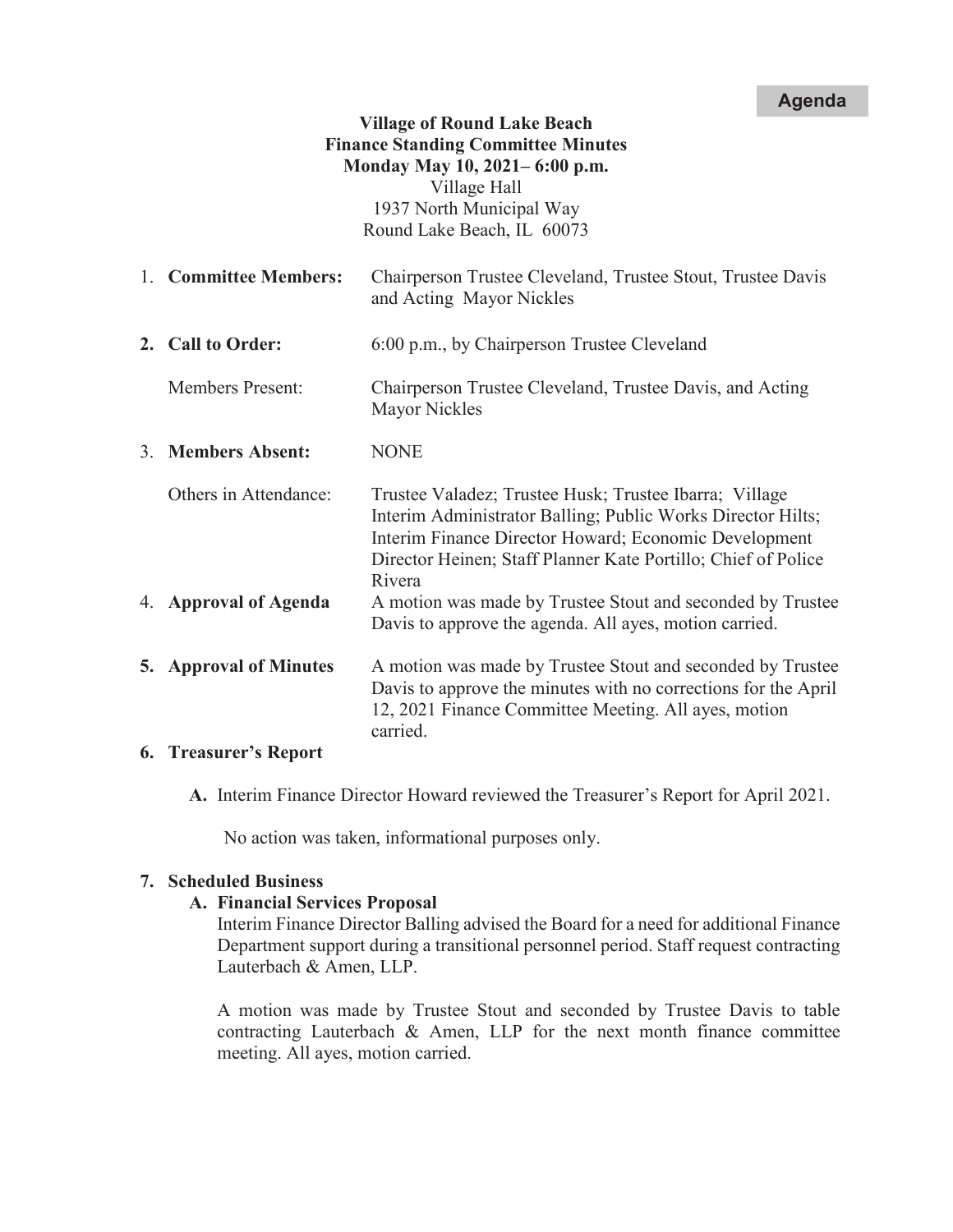## **Agenda**

# **Village of Round Lake Beach Finance Standing Committee Minutes Monday May 10, 2021– 6:00 p.m.**  Village Hall 1937 North Municipal Way

Round Lake Beach, IL 60073

- 1. **Committee Members:** Chairperson Trustee Cleveland, Trustee Stout, Trustee Davis and Acting Mayor Nickles
- **2. Call to Order:** 6:00 p.m., by Chairperson Trustee Cleveland

Members Present: Chairperson Trustee Cleveland, Trustee Davis, and Acting Mayor Nickles

3. **Members Absent:** NONE

Others in Attendance: Trustee Valadez; Trustee Husk; Trustee Ibarra; Village Interim Administrator Balling; Public Works Director Hilts; Interim Finance Director Howard; Economic Development Director Heinen; Staff Planner Kate Portillo; Chief of Police Rivera 4. **Approval of Agenda** A motion was made by Trustee Stout and seconded by Trustee Davis to approve the agenda. All ayes, motion carried. **5. Approval of Minutes** A motion was made by Trustee Stout and seconded by Trustee

Davis to approve the minutes with no corrections for the April 12, 2021 Finance Committee Meeting. All ayes, motion carried.

## **6. Treasurer's Report**

**A.** Interim Finance Director Howard reviewed the Treasurer's Report for April 2021.

No action was taken, informational purposes only.

## **7. Scheduled Business**

## **A. Financial Services Proposal**

Interim Finance Director Balling advised the Board for a need for additional Finance Department support during a transitional personnel period. Staff request contracting Lauterbach & Amen, LLP.

A motion was made by Trustee Stout and seconded by Trustee Davis to table contracting Lauterbach  $\&$  Amen, LLP for the next month finance committee meeting. All ayes, motion carried.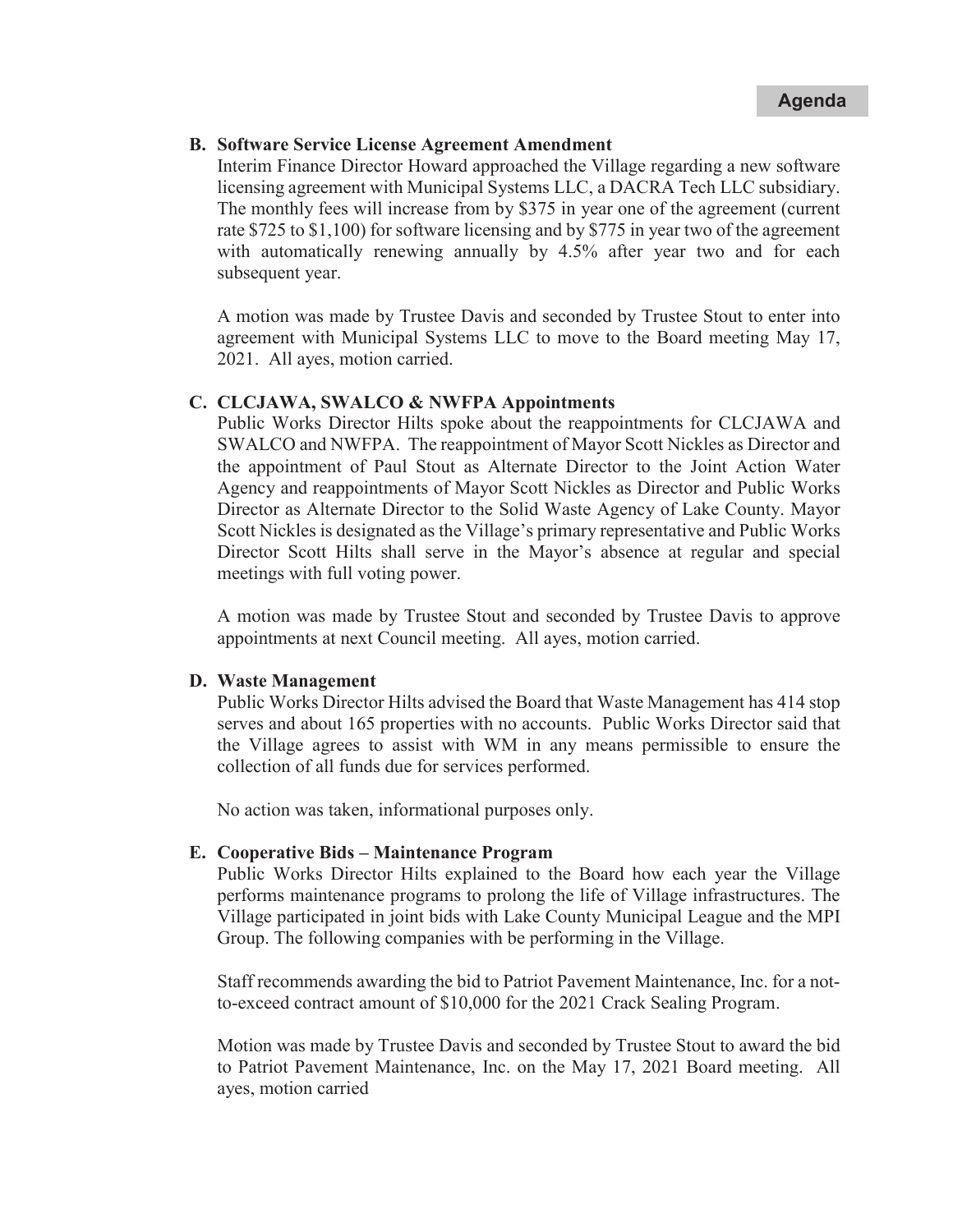## **B. Software Service License Agreement Amendment**

Interim Finance Director Howard approached the Village regarding a new software licensing agreement with Municipal Systems LLC, a DACRA Tech LLC subsidiary. The monthly fees will increase from by \$375 in year one of the agreement (current rate \$725 to \$1,100) for software licensing and by \$775 in year two of the agreement with automatically renewing annually by 4.5% after year two and for each subsequent year.

A motion was made by Trustee Davis and seconded by Trustee Stout to enter into agreement with Municipal Systems LLC to move to the Board meeting May 17, 2021. All ayes, motion carried.

### **C. CLCJAWA, SWALCO & NWFPA Appointments**

Public Works Director Hilts spoke about the reappointments for CLCJAWA and SWALCO and NWFPA. The reappointment of Mayor Scott Nickles as Director and the appointment of Paul Stout as Alternate Director to the Joint Action Water Agency and reappointments of Mayor Scott Nickles as Director and Public Works Director as Alternate Director to the Solid Waste Agency of Lake County. Mayor Scott Nickles is designated as the Village's primary representative and Public Works Director Scott Hilts shall serve in the Mayor's absence at regular and special meetings with full voting power.

A motion was made by Trustee Stout and seconded by Trustee Davis to approve appointments at next Council meeting. All ayes, motion carried.

#### **D. Waste Management**

Public Works Director Hilts advised the Board that Waste Management has 414 stop serves and about 165 properties with no accounts. Public Works Director said that the Village agrees to assist with WM in any means permissible to ensure the collection of all funds due for services performed.

No action was taken, informational purposes only.

#### **E. Cooperative Bids – Maintenance Program**

Public Works Director Hilts explained to the Board how each year the Village performs maintenance programs to prolong the life of Village infrastructures. The Village participated in joint bids with Lake County Municipal League and the MPI Group. The following companies with be performing in the Village.

Staff recommends awarding the bid to Patriot Pavement Maintenance, Inc. for a notto-exceed contract amount of \$10,000 for the 2021 Crack Sealing Program.

Motion was made by Trustee Davis and seconded by Trustee Stout to award the bid to Patriot Pavement Maintenance, Inc. on the May 17, 2021 Board meeting. All ayes, motion carried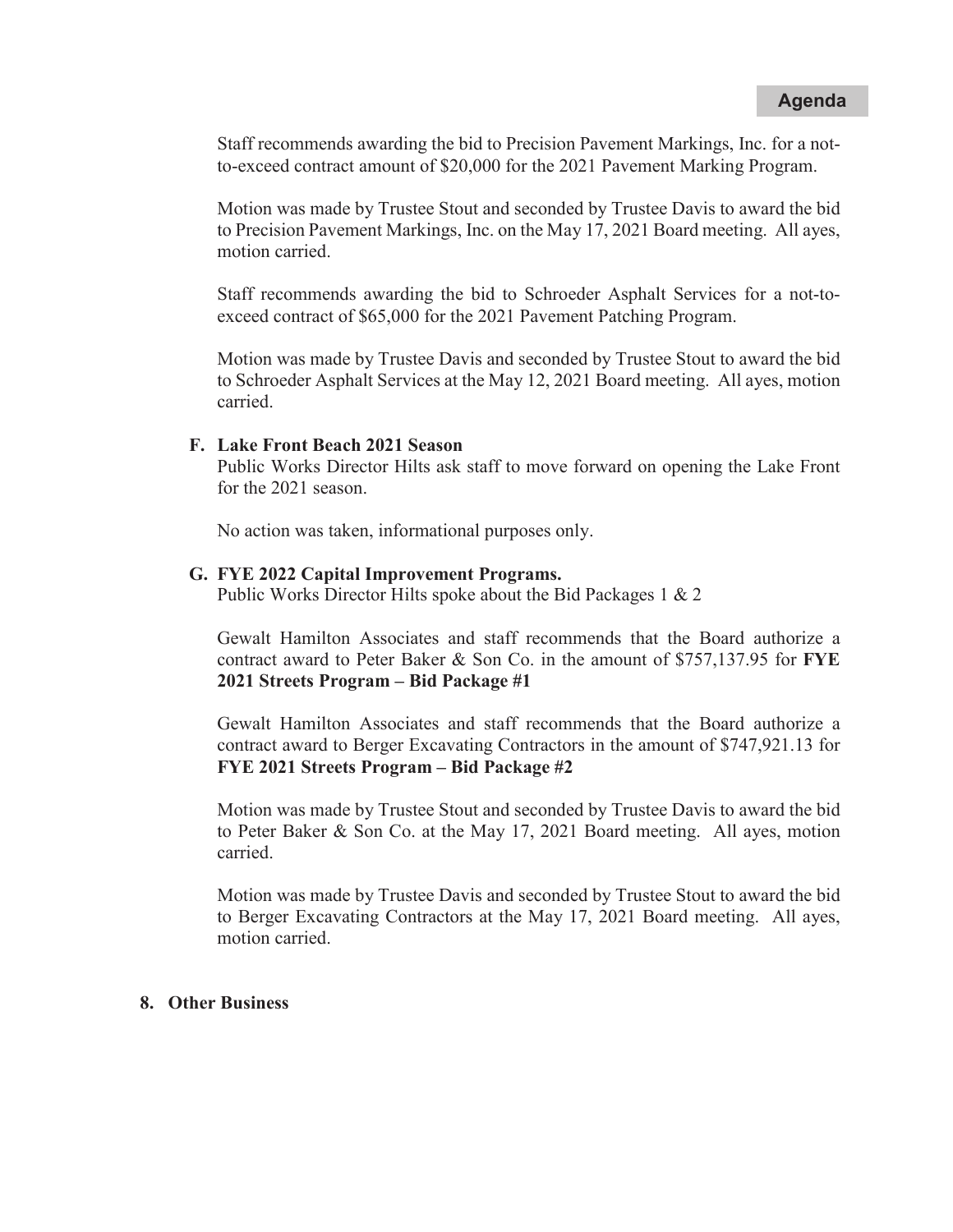Staff recommends awarding the bid to Precision Pavement Markings, Inc. for a notto-exceed contract amount of \$20,000 for the 2021 Pavement Marking Program.

Motion was made by Trustee Stout and seconded by Trustee Davis to award the bid to Precision Pavement Markings, Inc. on the May 17, 2021 Board meeting. All ayes, motion carried.

Staff recommends awarding the bid to Schroeder Asphalt Services for a not-toexceed contract of \$65,000 for the 2021 Pavement Patching Program.

Motion was made by Trustee Davis and seconded by Trustee Stout to award the bid to Schroeder Asphalt Services at the May 12, 2021 Board meeting. All ayes, motion carried.

### **F. Lake Front Beach 2021 Season**

Public Works Director Hilts ask staff to move forward on opening the Lake Front for the 2021 season.

No action was taken, informational purposes only.

#### **G. FYE 2022 Capital Improvement Programs.**

Public Works Director Hilts spoke about the Bid Packages 1 & 2

Gewalt Hamilton Associates and staff recommends that the Board authorize a contract award to Peter Baker & Son Co. in the amount of \$757,137.95 for **FYE 2021 Streets Program – Bid Package #1**

Gewalt Hamilton Associates and staff recommends that the Board authorize a contract award to Berger Excavating Contractors in the amount of \$747,921.13 for **FYE 2021 Streets Program – Bid Package #2**

Motion was made by Trustee Stout and seconded by Trustee Davis to award the bid to Peter Baker & Son Co. at the May 17, 2021 Board meeting. All ayes, motion carried.

Motion was made by Trustee Davis and seconded by Trustee Stout to award the bid to Berger Excavating Contractors at the May 17, 2021 Board meeting. All ayes, motion carried.

#### **8. Other Business**